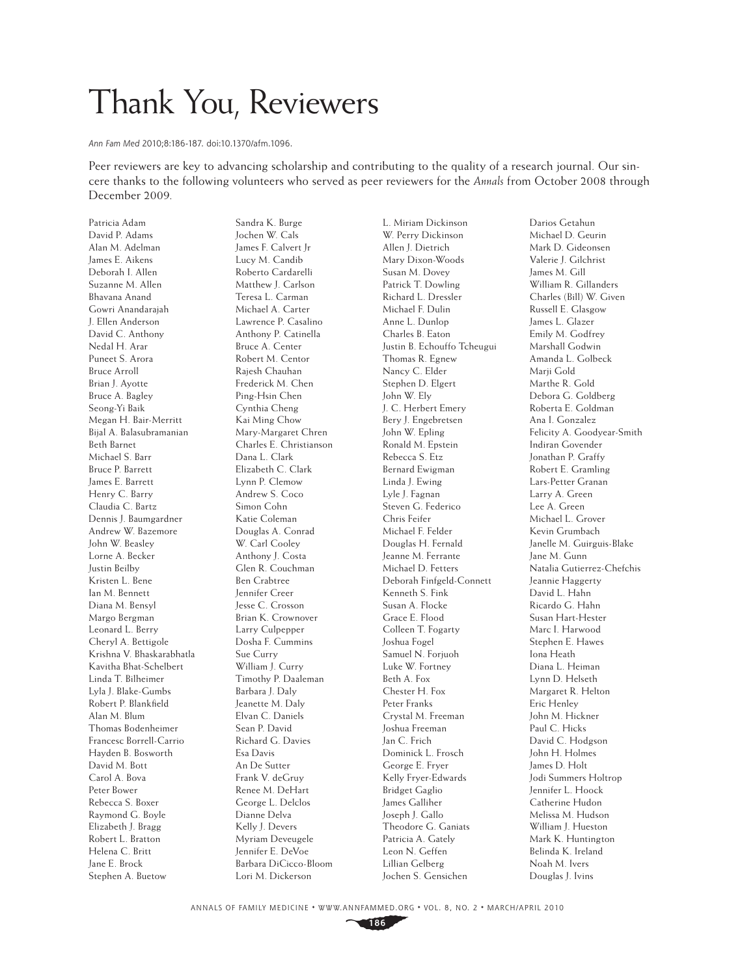## Thank You, Reviewers

Ann Fam Med 2010;8:186-187. doi:10.1370/afm.1096.

Peer reviewers are key to advancing scholarship and contributing to the quality of a research journal. Our sincere thanks to the following volunteers who served as peer reviewers for the *Annals* from October 2008 through December 2009.

Patricia Adam David P. Adams Alan M. Adelman James E. Aikens Deborah I. Allen Suzanne M. Allen Bhavana Anand Gowri Anandarajah J. Ellen Anderson David C. Anthony Nedal H. Arar Puneet S. Arora Bruce Arroll Brian J. Ayotte Bruce A. Bagley Seong-Yi Baik Megan H. Bair-Merritt Bijal A. Balasubramanian Beth Barnet Michael S. Barr Bruce P. Barrett James E. Barrett Henry C. Barry Claudia C. Bartz Dennis J. Baumgardner Andrew W. Bazemore John W. Beasley Lorne A. Becker Justin Beilby Kristen L. Bene Ian M. Bennett Diana M. Bensyl Margo Bergman Leonard L. Berry Cheryl A. Bettigole Krishna V. Bhaskarabhatla Kavitha Bhat-Schelbert Linda T. Bilheimer Lyla J. Blake-Gumbs Robert P. Blankfield Alan M. Blum Thomas Bodenheimer Francesc Borrell-Carrio Hayden B. Bosworth David M. Bott Carol A. Bova Peter Bower Rebecca S. Boxer Raymond G. Boyle Elizabeth J. Bragg Robert L. Bratton Helena C. Britt Jane E. Brock Stephen A. Buetow

Sandra K. Burge Jochen W. Cals James F. Calvert Jr Lucy M. Candib Roberto Cardarelli Matthew J. Carlson Teresa L. Carman Michael A. Carter Lawrence P. Casalino Anthony P. Catinella Bruce A. Center Robert M. Centor Rajesh Chauhan Frederick M. Chen Ping-Hsin Chen Cynthia Cheng Kai Ming Chow Mary-Margaret Chren Charles E. Christianson Dana L. Clark Elizabeth C. Clark Lynn P. Clemow Andrew S. Coco Simon Cohn Katie Coleman Douglas A. Conrad W. Carl Cooley Anthony J. Costa Glen R. Couchman Ben Crabtree Jennifer Creer Jesse C. Crosson Brian K. Crownover Larry Culpepper Dosha F. Cummins Sue Curry William J. Curry Timothy P. Daaleman Barbara J. Daly Jeanette M. Daly Elvan C. Daniels Sean P. David Richard G. Davies Esa Davis An De Sutter Frank V. deGruy Renee M. DeHart George L. Delclos Dianne Delva Kelly J. Devers Myriam Deveugele Jennifer E. DeVoe Barbara DiCicco-Bloom Lori M. Dickerson

L. Miriam Dickinson W. Perry Dickinson Allen J. Dietrich Mary Dixon-Woods Susan M. Dovey Patrick T. Dowling Richard L. Dressler Michael F. Dulin Anne L. Dunlop Charles B. Eaton Justin B. Echouffo Tcheugui Thomas R. Egnew Nancy C. Elder Stephen D. Elgert John W. Ely J. C. Herbert Emery Bery J. Engebretsen John W. Epling Ronald M. Epstein Rebecca S. Etz Bernard Ewigman Linda J. Ewing Lyle J. Fagnan Steven G. Federico Chris Feifer Michael F. Felder Douglas H. Fernald Jeanne M. Ferrante Michael D. Fetters Deborah Finfgeld-Connett Kenneth S. Fink Susan A. Flocke Grace E. Flood Colleen T. Fogarty Joshua Fogel Samuel N. Forjuoh Luke W. Fortney Beth A. Fox Chester H. Fox Peter Franks Crystal M. Freeman Joshua Freeman Jan C. Frich Dominick L. Frosch George E. Fryer Kelly Fryer-Edwards Bridget Gaglio James Galliher Joseph J. Gallo Theodore G. Ganiats Patricia A. Gately Leon N. Geffen Lillian Gelberg Jochen S. Gensichen

Darios Getahun Michael D. Geurin Mark D. Gideonsen Valerie J. Gilchrist James M. Gill William R. Gillanders Charles (Bill) W. Given Russell E. Glasgow James L. Glazer Emily M. Godfrey Marshall Godwin Amanda L. Golbeck Marii Gold Marthe R. Gold Debora G. Goldberg Roberta E. Goldman Ana I. Gonzalez Felicity A. Goodyear-Smith Indiran Govender Jonathan P. Graffy Robert E. Gramling Lars-Petter Granan Larry A. Green Lee A. Green Michael L. Grover Kevin Grumbach Janelle M. Guirguis-Blake Jane M. Gunn Natalia Gutierrez-Chefchis Jeannie Haggerty David L. Hahn Ricardo G. Hahn Susan Hart-Hester Marc I. Harwood Stephen E. Hawes Iona Heath Diana L. Heiman Lynn D. Helseth Margaret R. Helton Eric Henley John M. Hickner Paul C. Hicks David C. Hodgson John H. Holmes James D. Holt Jodi Summers Holtrop Jennifer L. Hoock Catherine Hudon Melissa M. Hudson William J. Hueston Mark K. Huntington Belinda K. Ireland Noah M. Ivers Douglas J. Ivins